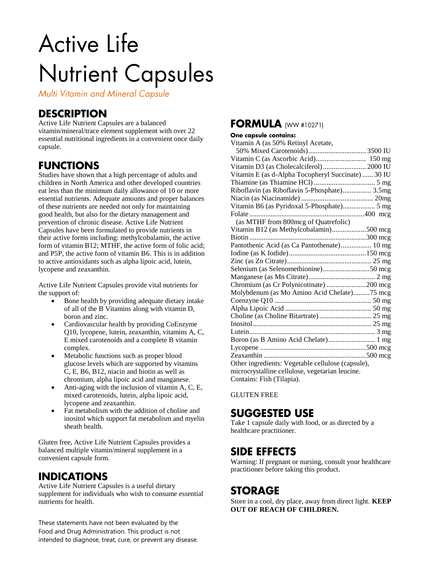# **Active Life Nutrient Capsules**

**Multi Vitamin and Mineral Capsule** 

# **DESCRIPTION**

Active Life Nutrient Capsules are a balanced vitamin/mineral/trace element supplement with over 22 essential nutritional ingredients in a convenient once daily capsule.

### **FUNCTIONS**

Studies have shown that a high percentage of adults and children in North America and other developed countries eat less than the minimum daily allowance of 10 or more essential nutrients. Adequate amounts and proper balances of these nutrients are needed not only for maintaining good health, but also for the dietary management and prevention of chronic disease. Active Life Nutrient Capsules have been formulated to provide nutrients in their active forms including: methylcobalamin, the active form of vitamin B12; MTHF, the active form of folic acid; and P5P, the active form of vitamin B6. This is in addition to active antioxidants such as alpha lipoic acid, lutein, lycopene and zeaxanthin.

Active Life Nutrient Capsules provide vital nutrients for the support of:

- Bone health by providing adequate dietary intake of all of the B Vitamins along with vitamin D, boron and zinc.
- Cardiovascular health by providing CoEnzyme Q10, lycopene, lutein, zeaxanthin, vitamins A, C, E mixed carotenoids and a complete B vitamin complex.
- Metabolic functions such as proper blood glucose levels which are supported by vitamins C, E, B6, B12, niacin and biotin as well as chromium, alpha lipoic acid and manganese.
- Anti-aging with the inclusion of vitamin A, C, E, mixed carotenoids, lutein, alpha lipoic acid, lycopene and zeaxanthin.
- Fat metabolism with the addition of choline and inositol which support fat metabolism and myelin sheath health.

Gluten free, Active Life Nutrient Capsules provides a balanced multiple vitamin/mineral supplement in a convenient capsule form.

# **INDICATIONS**

Active Life Nutrient Capsules is a useful dietary supplement for individuals who wish to consume essential nutrients for health.

These statements have not been evaluated by the Food and Drug Administration. This product is not intended to diagnose, treat, cure, or prevent any disease.

#### **FORMULA (WW #10271)**

#### One capsule contains:

| Vitamin A (as 50% Retinyl Acetate,                 |
|----------------------------------------------------|
|                                                    |
|                                                    |
| Vitamin D3 (as Cholecalciferol) 2000 IU            |
| Vitamin E (as d-Alpha Tocopheryl Succinate)  30 IU |
|                                                    |
| Riboflavin (as Riboflavin 5-Phosphate) 3.5mg       |
|                                                    |
| Vitamin B6 (as Pyridoxal 5-Phosphate) 5 mg         |
|                                                    |
| (as MTHF from 800mcg of Quatrefolic)               |
| Vitamin B12 (as Methylcobalamin)500 mcg            |
|                                                    |
| Pantothenic Acid (as Ca Pantothenate) 10 mg        |
|                                                    |
|                                                    |
| Selenium (as Selenomethionine)50 mcg               |
|                                                    |
| Chromium (as Cr Polynicotinate) 200 mcg            |
| Molybdenum (as Mo Amino Acid Chelate)75 mcg        |
|                                                    |
|                                                    |
|                                                    |
|                                                    |
|                                                    |
| Boron (as B Amino Acid Chelate) 1 mg               |
|                                                    |
|                                                    |
| Other ingredients: Vegetable cellulose (capsule),  |
| microcrystalline cellulose, vegetarian leucine.    |
| Contains: Fish (Tilapia).                          |

GLUTEN FREE

### **SUGGESTED USE**

Take 1 capsule daily with food, or as directed by a healthcare practitioner.

#### **SIDE EFFECTS**

Warning: If pregnant or nursing, consult your healthcare practitioner before taking this product.

# **STORAGE**

Store in a cool, dry place, away from direct light. **KEEP OUT OF REACH OF CHILDREN.**